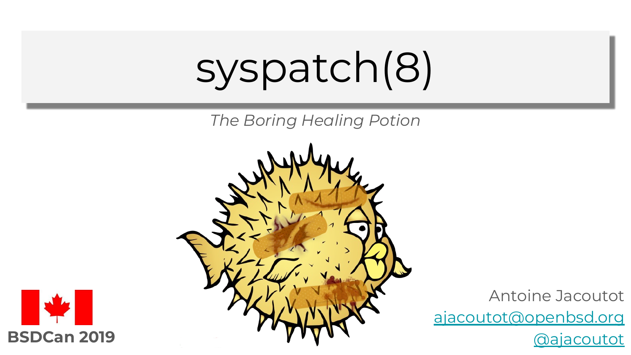# syspatch(8)

*The Boring Healing Potion*





Antoine Jacoutot [ajacoutot@openbsd.org](mailto:ajacoutot@openbsd.org)

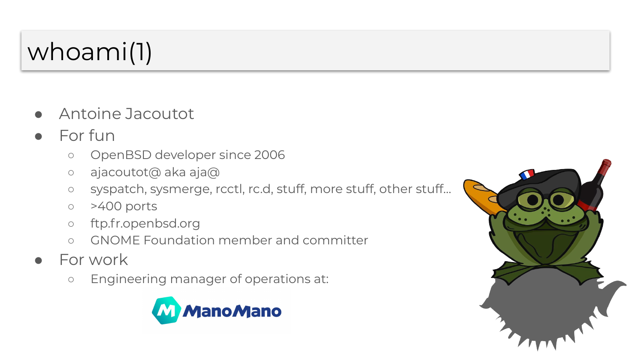## whoami(1)

- Antoine Jacoutot
- For fun
	- OpenBSD developer since 2006
	- ajacoutot@ aka aja@
	- syspatch, sysmerge, rcctl, rc.d, stuff, more stuff, other stuff…
	- >400 ports
	- ftp.fr.openbsd.org
	- GNOME Foundation member and committer
- For work
	- Engineering manager of operations at:



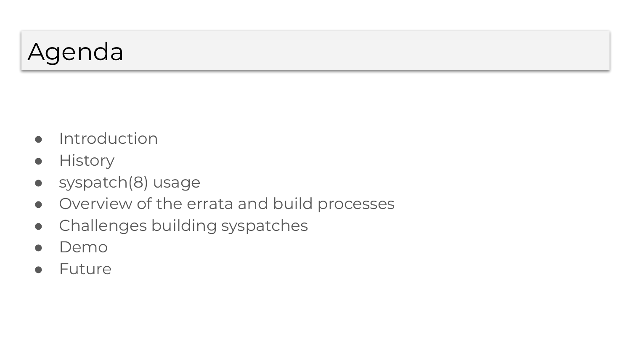### Agenda

- Introduction
- History
- syspatch(8) usage
- Overview of the errata and build processes
- Challenges building syspatches
- Demo
- Future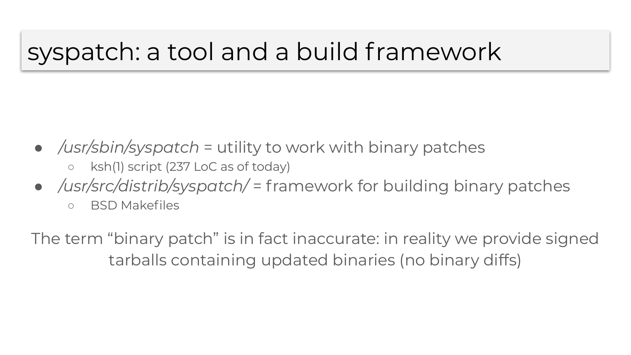### syspatch: a tool and a build framework

- */usr/sbin/syspatch* = utility to work with binary patches
	- ksh(1) script (237 LoC as of today)
- */usr/src/distrib/syspatch/* = framework for building binary patches
	- BSD Makefiles

The term "binary patch" is in fact inaccurate: in reality we provide signed tarballs containing updated binaries (no binary diffs)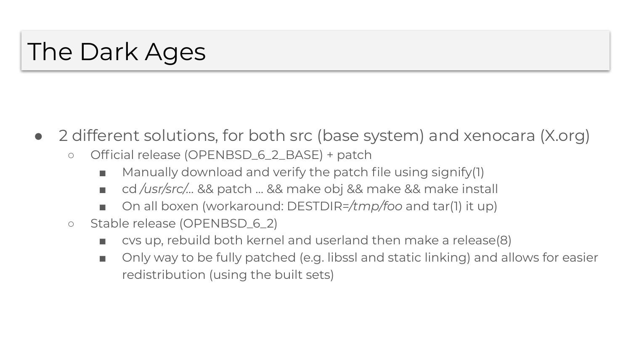### The Dark Ages

- 2 different solutions, for both src (base system) and xenocara (X.org)
	- Official release (OPENBSD\_6\_2\_BASE) + patch
		- Manually download and verify the patch file using signify(1)
		- cd /usr/src/... && patch ... && make obj && make && make install
		- On all boxen (workaround: DESTDIR=/tmp/foo and tar(1) it up)
	- Stable release (OPENBSD\_6\_2)
		- cvs up, rebuild both kernel and userland then make a release(8)
		- Only way to be fully patched (e.g. libssl and static linking) and allows for easier redistribution (using the built sets)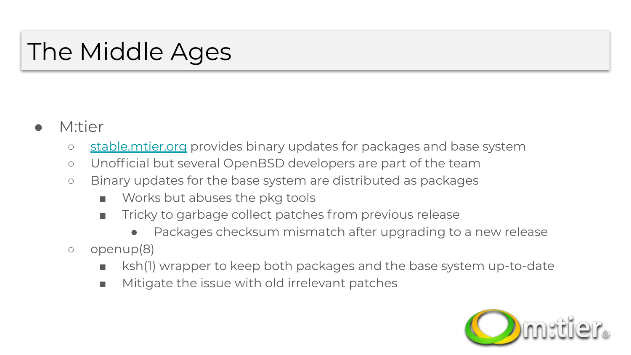### The Middle Ages

- M:tier
	- [stable.mtier.org](https://stable.mtier.org/) provides binary updates for packages and base system
	- Unofficial but several OpenBSD developers are part of the team
	- Binary updates for the base system are distributed as packages
		- Works but abuses the pkg tools
		- Tricky to garbage collect patches from previous release
			- Packages checksum mismatch after upgrading to a new release
	- openup(8)
		- ksh(1) wrapper to keep both packages and the base system up-to-date
		- Mitigate the issue with old irrelevant patches

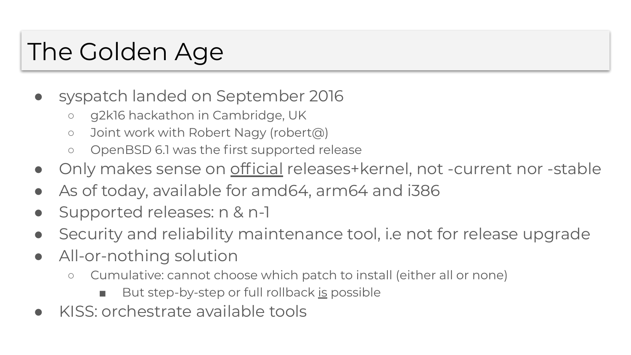### The Golden Age

- syspatch landed on September 2016
	- g2k16 hackathon in Cambridge, UK
	- Joint work with Robert Nagy (robert@)
	- OpenBSD 6.1 was the first supported release
- Only makes sense on official releases+kernel, not -current nor -stable
- As of today, available for amd64, arm64 and i386
- Supported releases: n & n-1
- Security and reliability maintenance tool, i.e not for release upgrade
- All-or-nothing solution
	- Cumulative: cannot choose which patch to install (either all or none)
		- But step-by-step or full rollback is possible
- KISS: orchestrate available tools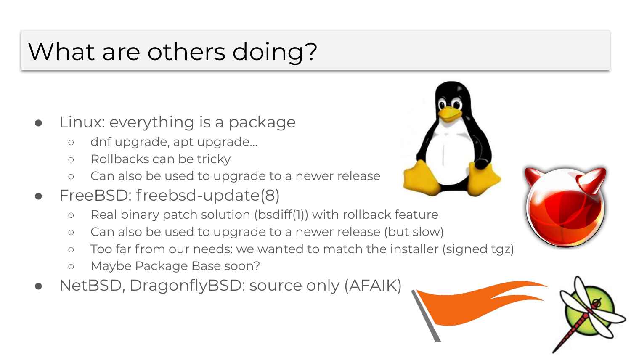### What are others doing?

- Linux: everything is a package
	- dnf upgrade, apt upgrade…
	- Rollbacks can be tricky
	- Can also be used to upgrade to a newer release
- FreeBSD: freebsd-update(8)
	- Real binary patch solution (bsdiff(1)) with rollback feature
	- Can also be used to upgrade to a newer release (but slow)
	- Too far from our needs: we wanted to match the installer (signed tgz)
	- Maybe Package Base soon?
- NetBSD, DragonflyBSD: source only (AFAIK)





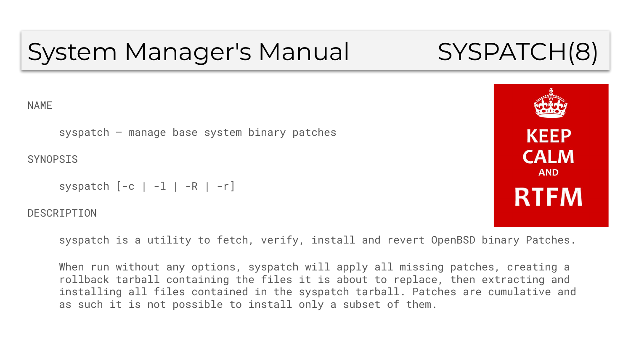### System Manager's Manual SYSPATCH(8)

#### NAME

syspatch – manage base system binary patches

**SYNOPSIS** 

```
syspatch [-c \mid -1 \mid -R \mid -r]
```
**DESCRIPTION** 

syspatch is a utility to fetch, verify, install and revert OpenBSD binary Patches.

When run without any options, syspatch will apply all missing patches, creating a rollback tarball containing the files it is about to replace, then extracting and installing all files contained in the syspatch tarball. Patches are cumulative and as such it is not possible to install only a subset of them.

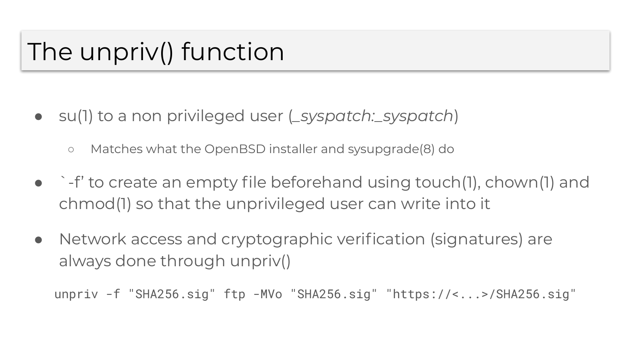### The unpriv() function

- su(1) to a non privileged user (*\_syspatch:\_syspatch*)
	- Matches what the OpenBSD installer and sysupgrade(8) do
- $\rightarrow$  -f' to create an empty file beforehand using touch(1), chown(1) and chmod(1) so that the unprivileged user can write into it
- Network access and cryptographic verification (signatures) are always done through unpriv()

unpriv -f "SHA256.sig" ftp -MVo "SHA256.sig" "https://<...>/SHA256.sig"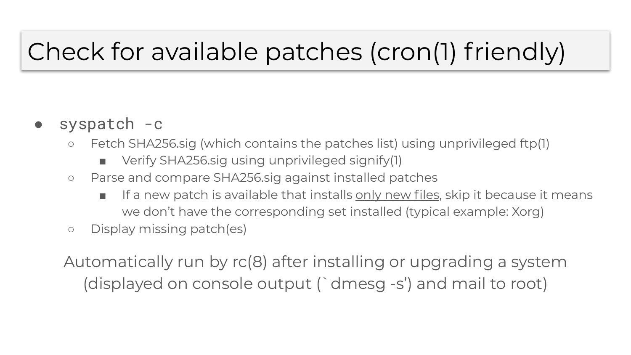### Check for available patches (cron(1) friendly)

- syspatch -c
	- Fetch SHA256.sig (which contains the patches list) using unprivileged ftp(1)
		- Verify SHA256.sig using unprivileged signify(1)
	- Parse and compare SHA256.sig against installed patches
		- If a new patch is available that installs only new files, skip it because it means we don't have the corresponding set installed (typical example: Xorg)
	- Display missing patch(es)

Automatically run by rc(8) after installing or upgrading a system (displayed on console output (`dmesg -s') and mail to root)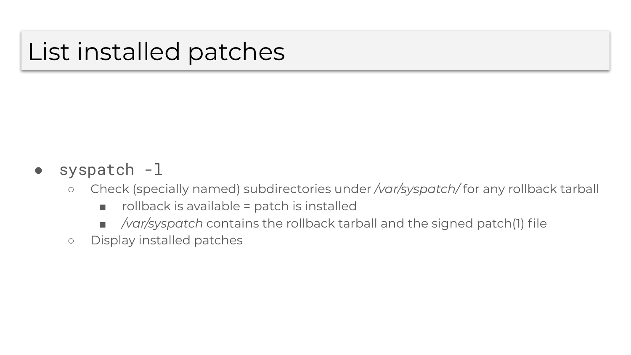### List installed patches

### syspatch -l

- Check (specially named) subdirectories under */var/syspatch/* for any rollback tarball
	- $\blacksquare$  rollback is available = patch is installed
	- */var/syspatch* contains the rollback tarball and the signed patch(1) file
- Display installed patches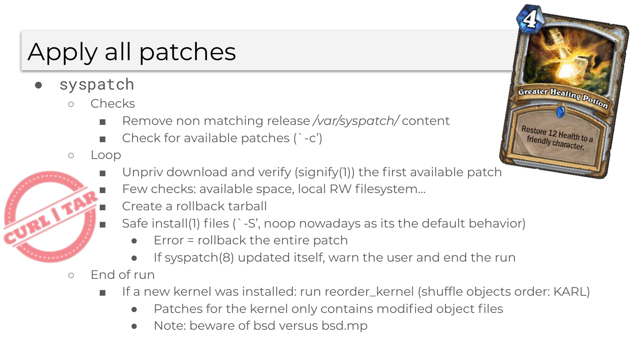## Apply all patches

- syspatch
	- Checks
		- Remove non matching release /var/syspatch/ content
		- Check for available patches  $($  -c')
	- Loop
		- Unpriv download and verify (signify(1)) the first available patch
		- Few checks: available space, local RW filesystem...
		- Create a rollback tarball
		- Safe install(1) files (`-S', noop nowadays as its the default behavior)
			- $Error = rollback$  the entire patch
			- If syspatch(8) updated itself, warn the user and end the run
	- End of run
		- If a new kernel was installed: run reorder\_kernel (shuffle objects order: KARL)
			- Patches for the kernel only contains modified object files
			- Note: beware of bsd versus bsd.mp

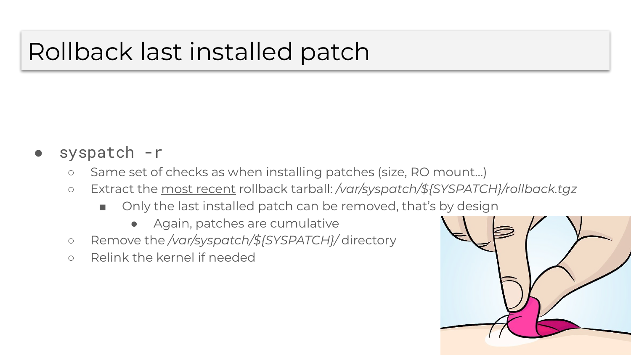### Rollback last installed patch

- syspatch -r
	- Same set of checks as when installing patches (size, RO mount…)
	- Extract the most recent rollback tarball: */var/syspatch/\${SYSPATCH}/rollback.tgz*
		- Only the last installed patch can be removed, that's by design
			- Again, patches are cumulative
	- Remove the */var/syspatch/\${SYSPATCH}/* directory
	- Relink the kernel if needed

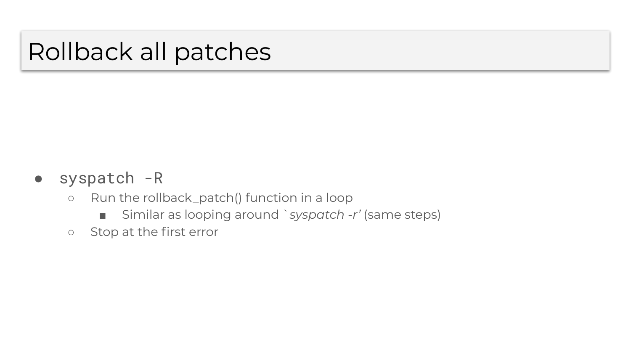### Rollback all patches

#### ● syspatch -R

- Run the rollback\_patch() function in a loop
	- Similar as looping around `syspatch -r' (same steps)
- Stop at the first error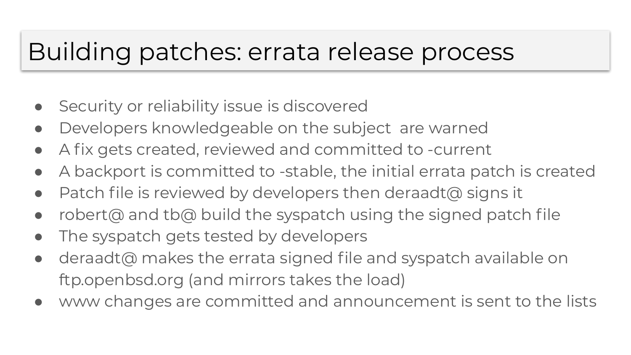### Building patches: errata release process

- Security or reliability issue is discovered
- Developers knowledgeable on the subject are warned
- A fix gets created, reviewed and committed to -current
- A backport is committed to -stable, the initial errata patch is created
- Patch file is reviewed by developers then deraadt@ signs it
- robert@ and tb@ build the syspatch using the signed patch file
- The syspatch gets tested by developers
- deraadt@ makes the errata signed file and syspatch available on ftp.openbsd.org (and mirrors takes the load)
- www changes are committed and announcement is sent to the lists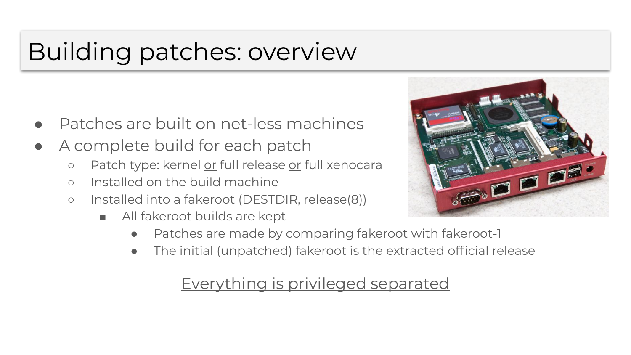### Building patches: overview

- Patches are built on net-less machines
- A complete build for each patch
	- o Patch type: kernel or full release or full xenocara
	- Installed on the build machine
	- Installed into a fakeroot (DESTDIR, release(8))
		- All fakeroot builds are kept



- Patches are made by comparing fakeroot with fakeroot-1
- The initial (unpatched) fakeroot is the extracted official release

#### Everything is privileged separated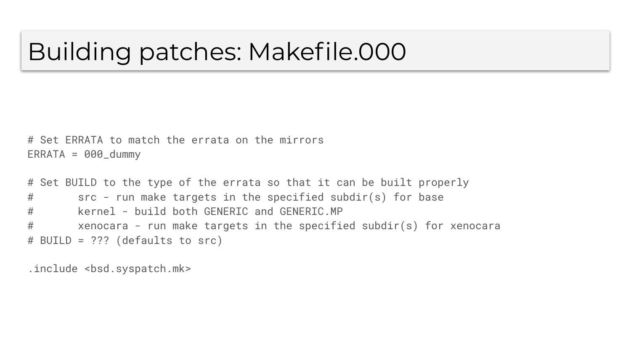### Building patches: Makefile.000

# Set ERRATA to match the errata on the mirrors  $ERRATA = 000_dummy$ 

# Set BUILD to the type of the errata so that it can be built properly # src - run make targets in the specified subdir(s) for base # kernel - build both GENERIC and GENERIC.MP # xenocara - run make targets in the specified subdir(s) for xenocara # BUILD = ??? (defaults to src)

.include <bsd.syspatch.mk>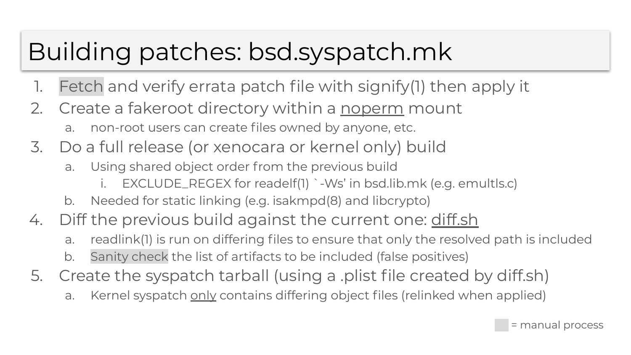### Building patches: bsd.syspatch.mk

- 1. Fetch and verify errata patch file with signify(1) then apply it
- 2. Create a fakeroot directory within a noperm mount
	- a. non-root users can create files owned by anyone, etc.
- 3. Do a full release (or xenocara or kernel only) build
	- a. Using shared object order from the previous build
		- i. EXCLUDE\_REGEX for readelf(1) `-Ws' in bsd.lib.mk (e.g. emultls.c)
	- b. Needed for static linking (e.g. isakmpd(8) and libcrypto)
- 4. Diff the previous build against the current one: diff.sh
	- a. readlink(1) is run on differing files to ensure that only the resolved path is included
	- b. Sanity check the list of artifacts to be included (false positives)
- 5. Create the syspatch tarball (using a .plist file created by diff.sh)
	- a. Kernel syspatch only contains differing object files (relinked when applied)

= manual process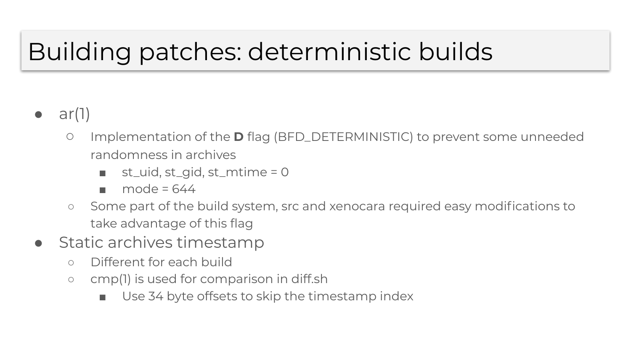### Building patches: deterministic builds

- $ar(1)$ 
	- Implementation of the **D** flag (BFD\_DETERMINISTIC) to prevent some unneeded randomness in archives
		- $st$ -uid,  $st$ -gid,  $st$ -mtime = 0
		- $\blacksquare$  mode = 644
	- Some part of the build system, src and xenocara required easy modifications to take advantage of this flag
- Static archives timestamp
	- Different for each build
	- cmp(1) is used for comparison in diff.sh
		- Use 34 byte offsets to skip the timestamp index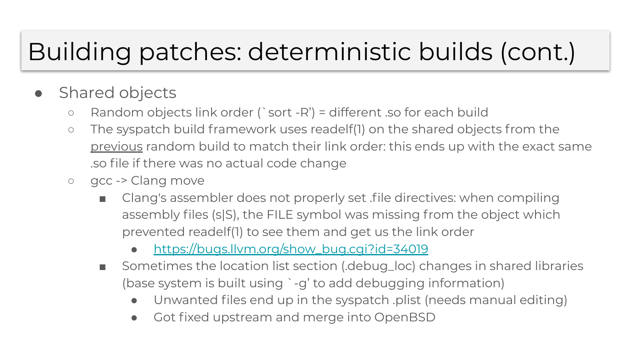### Building patches: deterministic builds (cont.)

- Shared objects
	- $\circ$  Random objects link order (`sort -R') = different .so for each build
	- The syspatch build framework uses readelf(1) on the shared objects from the previous random build to match their link order: this ends up with the exact same .so file if there was no actual code change
	- gcc -> Clang move
		- Clang's assembler does not properly set file directives: when compiling assembly files (s|S), the FILE symbol was missing from the object which prevented readelf(1) to see them and get us the link order
			- https://bugs.llym.org/show\_bug.cgi?id=34019
		- Sometimes the location list section (.debug\_loc) changes in shared libraries (base system is built using `-g' to add debugging information)
			- Unwanted files end up in the syspatch .plist (needs manual editing)
			- Got fixed upstream and merge into OpenBSD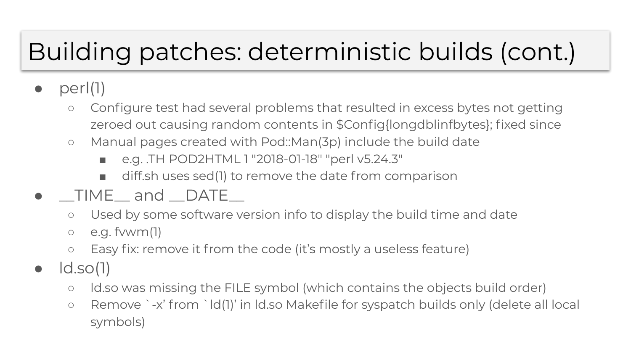### Building patches: deterministic builds (cont.)

- $perI(1)$ 
	- Configure test had several problems that resulted in excess bytes not getting zeroed out causing random contents in \$Config{longdblinfbytes}; fixed since
	- Manual pages created with Pod::Man(3p) include the build date
		- e.g. .TH POD2HTML 1 "2018-01-18" "perl v5.24.3"
		- diff.sh uses sed(1) to remove the date from comparison
- \_\_TIME\_\_ and \_\_DATE\_\_
	- Used by some software version info to display the build time and date
	- $\circ$  e.g. fvwm(1)
	- Easy fix: remove it from the code (it's mostly a useless feature)
- $\bullet$   $\vdots$   $\vdots$ 
	- ld.so was missing the FILE symbol (which contains the objects build order)
	- Remove `-x' from `ld(1)' in ld.so Makefile for syspatch builds only (delete all local symbols)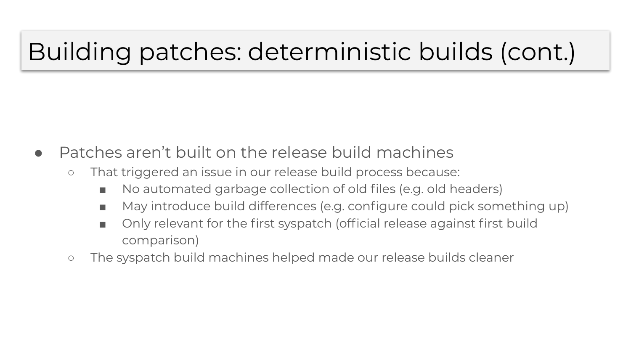### Building patches: deterministic builds (cont.)

- Patches aren't built on the release build machines
	- That triggered an issue in our release build process because:
		- No automated garbage collection of old files (e.g. old headers)
		- May introduce build differences (e.g. configure could pick something up)
		- Only relevant for the first syspatch (official release against first build comparison)
	- The syspatch build machines helped made our release builds cleaner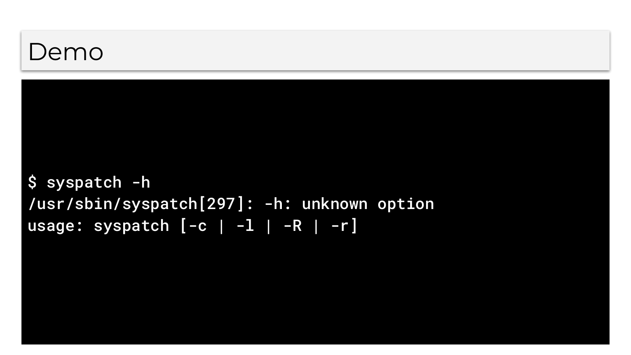### Demo

\$ syspatch -h /usr/sbin/syspatch[297]: -h: unknown option usage: syspatch  $[-c \mid -1 \mid -R \mid -r]$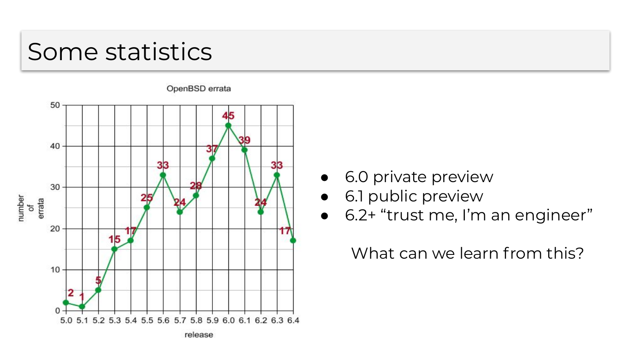### Some statistics



● 6.0 private preview

● 6.2+ "trust me, I'm an engineer"

What can we learn from this?

• 6.1 public preview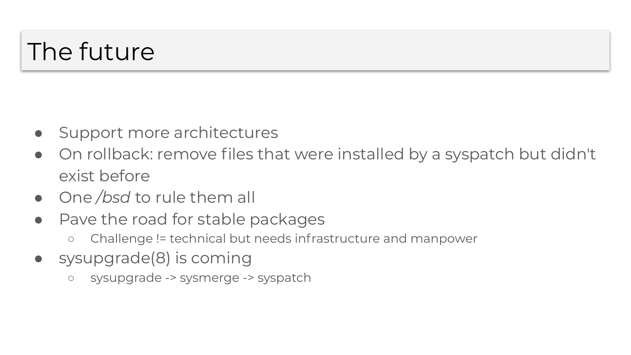### The future

- Support more architectures
- On rollback: remove files that were installed by a syspatch but didn't exist before
- One */bsd* to rule them all
- Pave the road for stable packages
	- Challenge != technical but needs infrastructure and manpower
- sysupgrade(8) is coming
	- sysupgrade -> sysmerge -> syspatch